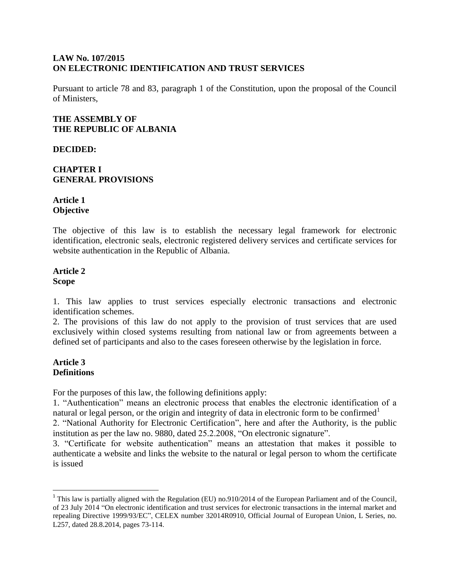#### **LAW No. 107/2015 ON ELECTRONIC IDENTIFICATION AND TRUST SERVICES**

Pursuant to article 78 and 83, paragraph 1 of the Constitution, upon the proposal of the Council of Ministers,

#### **THE ASSEMBLY OF THE REPUBLIC OF ALBANIA**

**DECIDED:** 

### **CHAPTER I GENERAL PROVISIONS**

# **Article 1 Objective**

The objective of this law is to establish the necessary legal framework for electronic identification, electronic seals, electronic registered delivery services and certificate services for website authentication in the Republic of Albania.

#### **Article 2 Scope**

1. This law applies to trust services especially electronic transactions and electronic identification schemes.

2. The provisions of this law do not apply to the provision of trust services that are used exclusively within closed systems resulting from national law or from agreements between a defined set of participants and also to the cases foreseen otherwise by the legislation in force.

#### **Article 3 Definitions**

 $\overline{\phantom{a}}$ 

For the purposes of this law, the following definitions apply:

1. "Authentication" means an electronic process that enables the electronic identification of a natural or legal person, or the origin and integrity of data in electronic form to be confirmed<sup>1</sup>

2. "National Authority for Electronic Certification", here and after the Authority, is the public institution as per the law no. 9880, dated 25.2.2008, "On electronic signature".

3. "Certificate for website authentication" means an attestation that makes it possible to authenticate a website and links the website to the natural or legal person to whom the certificate is issued

<sup>&</sup>lt;sup>1</sup> This law is partially aligned with the Regulation (EU) no.910/2014 of the European Parliament and of the Council, of 23 July 2014 "On electronic identification and trust services for electronic transactions in the internal market and repealing Directive 1999/93/EC", CELEX number 32014R0910, Official Journal of European Union, L Series, no. L257, dated 28.8.2014, pages 73-114.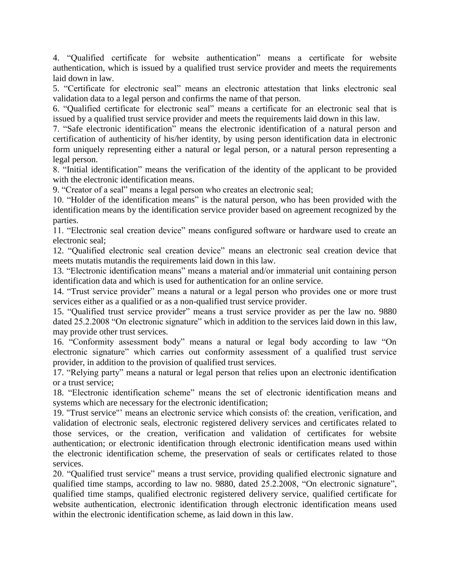4. "Qualified certificate for website authentication" means a certificate for website authentication, which is issued by a qualified trust service provider and meets the requirements laid down in law.

5. "Certificate for electronic seal" means an electronic attestation that links electronic seal validation data to a legal person and confirms the name of that person.

6. "Qualified certificate for electronic seal" means a certificate for an electronic seal that is issued by a qualified trust service provider and meets the requirements laid down in this law.

7. "Safe electronic identification" means the electronic identification of a natural person and certification of authenticity of his/her identity, by using person identification data in electronic form uniquely representing either a natural or legal person, or a natural person representing a legal person.

8. "Initial identification" means the verification of the identity of the applicant to be provided with the electronic identification means.

9. "Creator of a seal" means a legal person who creates an electronic seal;

10. "Holder of the identification means" is the natural person, who has been provided with the identification means by the identification service provider based on agreement recognized by the parties.

11. "Electronic seal creation device" means configured software or hardware used to create an electronic seal;

12. "Qualified electronic seal creation device" means an electronic seal creation device that meets mutatis mutandis the requirements laid down in this law.

13. "Electronic identification means" means a material and/or immaterial unit containing person identification data and which is used for authentication for an online service.

14. "Trust service provider" means a natural or a legal person who provides one or more trust services either as a qualified or as a non-qualified trust service provider.

15. "Qualified trust service provider" means a trust service provider as per the law no. 9880 dated 25.2.2008 "On electronic signature" which in addition to the services laid down in this law, may provide other trust services.

16. "Conformity assessment body" means a natural or legal body according to law "On electronic signature" which carries out conformity assessment of a qualified trust service provider, in addition to the provision of qualified trust services.

17. "Relying party" means a natural or legal person that relies upon an electronic identification or a trust service;

18. "Electronic identification scheme" means the set of electronic identification means and systems which are necessary for the electronic identification;

19. "Trust service"' means an electronic service which consists of: the creation, verification, and validation of electronic seals, electronic registered delivery services and certificates related to those services, or the creation, verification and validation of certificates for website authentication; or electronic identification through electronic identification means used within the electronic identification scheme, the preservation of seals or certificates related to those services.

20. "Qualified trust service" means a trust service, providing qualified electronic signature and qualified time stamps, according to law no. 9880, dated 25.2.2008, "On electronic signature", qualified time stamps, qualified electronic registered delivery service, qualified certificate for website authentication, electronic identification through electronic identification means used within the electronic identification scheme, as laid down in this law.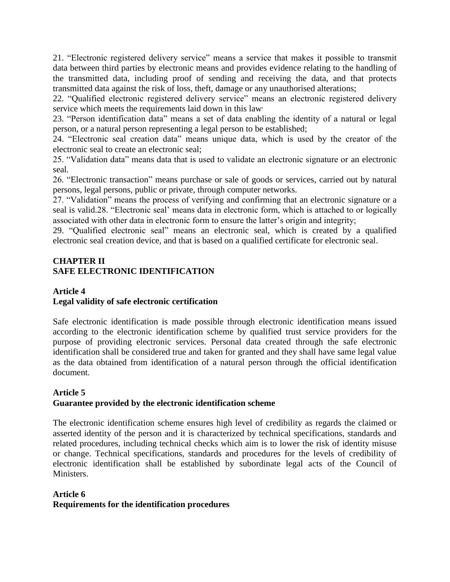21. "Electronic registered delivery service" means a service that makes it possible to transmit data between third parties by electronic means and provides evidence relating to the handling of the transmitted data, including proof of sending and receiving the data, and that protects transmitted data against the risk of loss, theft, damage or any unauthorised alterations;

22. "Qualified electronic registered delivery service" means an electronic registered delivery service which meets the requirements laid down in this law'

23. "Person identification data" means a set of data enabling the identity of a natural or legal person, or a natural person representing a legal person to be established;

24. "Electronic seal creation data" means unique data, which is used by the creator of the electronic seal to create an electronic seal;

25. "Validation data" means data that is used to validate an electronic signature or an electronic seal.

26. "Electronic transaction" means purchase or sale of goods or services, carried out by natural persons, legal persons, public or private, through computer networks.

27. "Validation" means the process of verifying and confirming that an electronic signature or a seal is valid.28. "Electronic seal' means data in electronic form, which is attached to or logically associated with other data in electronic form to ensure the latter's origin and integrity;

29. "Qualified electronic seal" means an electronic seal, which is created by a qualified electronic seal creation device, and that is based on a qualified certificate for electronic seal.

# **CHAPTER II SAFE ELECTRONIC IDENTIFICATION**

### **Article 4 Legal validity of safe electronic certification**

Safe electronic identification is made possible through electronic identification means issued according to the electronic identification scheme by qualified trust service providers for the purpose of providing electronic services. Personal data created through the safe electronic identification shall be considered true and taken for granted and they shall have same legal value as the data obtained from identification of a natural person through the official identification document.

# **Article 5 Guarantee provided by the electronic identification scheme**

The electronic identification scheme ensures high level of credibility as regards the claimed or asserted identity of the person and it is characterized by technical specifications, standards and related procedures, including technical checks which aim is to lower the risk of identity misuse or change. Technical specifications, standards and procedures for the levels of credibility of electronic identification shall be established by subordinate legal acts of the Council of Ministers.

# **Article 6 Requirements for the identification procedures**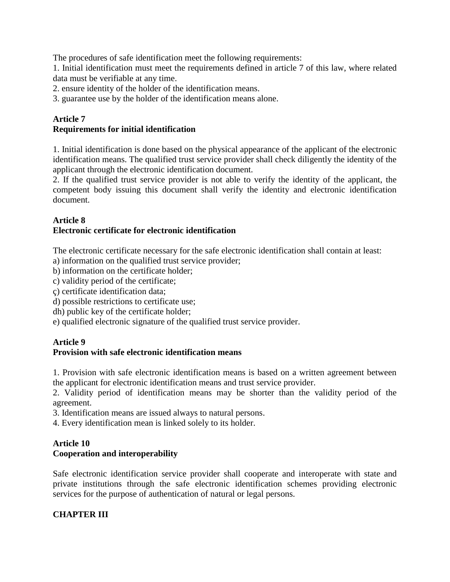The procedures of safe identification meet the following requirements:

1. Initial identification must meet the requirements defined in article 7 of this law, where related data must be verifiable at any time.

2. ensure identity of the holder of the identification means.

3. guarantee use by the holder of the identification means alone.

# **Article 7**

#### **Requirements for initial identification**

1. Initial identification is done based on the physical appearance of the applicant of the electronic identification means. The qualified trust service provider shall check diligently the identity of the applicant through the electronic identification document.

2. If the qualified trust service provider is not able to verify the identity of the applicant, the competent body issuing this document shall verify the identity and electronic identification document.

#### **Article 8**

# **Electronic certificate for electronic identification**

The electronic certificate necessary for the safe electronic identification shall contain at least:

a) information on the qualified trust service provider;

b) information on the certificate holder;

c) validity period of the certificate;

ç) certificate identification data;

d) possible restrictions to certificate use;

dh) public key of the certificate holder;

e) qualified electronic signature of the qualified trust service provider.

#### **Article 9**

#### **Provision with safe electronic identification means**

1. Provision with safe electronic identification means is based on a written agreement between the applicant for electronic identification means and trust service provider.

2. Validity period of identification means may be shorter than the validity period of the agreement.

3. Identification means are issued always to natural persons.

4. Every identification mean is linked solely to its holder.

#### **Article 10 Cooperation and interoperability**

Safe electronic identification service provider shall cooperate and interoperate with state and private institutions through the safe electronic identification schemes providing electronic services for the purpose of authentication of natural or legal persons.

#### **CHAPTER III**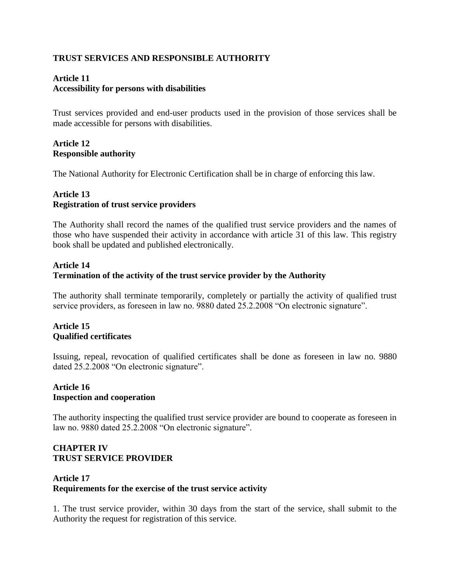# **TRUST SERVICES AND RESPONSIBLE AUTHORITY**

#### **Article 11 Accessibility for persons with disabilities**

Trust services provided and end-user products used in the provision of those services shall be made accessible for persons with disabilities.

#### **Article 12 Responsible authority**

The National Authority for Electronic Certification shall be in charge of enforcing this law.

#### **Article 13 Registration of trust service providers**

The Authority shall record the names of the qualified trust service providers and the names of those who have suspended their activity in accordance with article 31 of this law. This registry book shall be updated and published electronically.

# **Article 14 Termination of the activity of the trust service provider by the Authority**

The authority shall terminate temporarily, completely or partially the activity of qualified trust service providers, as foreseen in law no. 9880 dated 25.2.2008 "On electronic signature".

# **Article 15 Qualified certificates**

Issuing, repeal, revocation of qualified certificates shall be done as foreseen in law no. 9880 dated 25.2.2008 "On electronic signature".

#### **Article 16 Inspection and cooperation**

The authority inspecting the qualified trust service provider are bound to cooperate as foreseen in law no. 9880 dated 25.2.2008 "On electronic signature".

#### **CHAPTER IV TRUST SERVICE PROVIDER**

#### **Article 17 Requirements for the exercise of the trust service activity**

1. The trust service provider, within 30 days from the start of the service, shall submit to the Authority the request for registration of this service.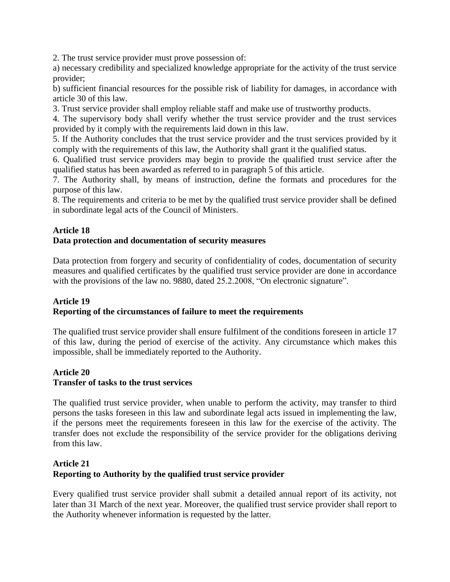2. The trust service provider must prove possession of:

a) necessary credibility and specialized knowledge appropriate for the activity of the trust service provider;

b) sufficient financial resources for the possible risk of liability for damages, in accordance with article 30 of this law.

3. Trust service provider shall employ reliable staff and make use of trustworthy products.

4. The supervisory body shall verify whether the trust service provider and the trust services provided by it comply with the requirements laid down in this law.

5. If the Authority concludes that the trust service provider and the trust services provided by it comply with the requirements of this law, the Authority shall grant it the qualified status.

6. Qualified trust service providers may begin to provide the qualified trust service after the qualified status has been awarded as referred to in paragraph 5 of this article.

7. The Authority shall, by means of instruction, define the formats and procedures for the purpose of this law.

8. The requirements and criteria to be met by the qualified trust service provider shall be defined in subordinate legal acts of the Council of Ministers.

#### **Article 18**

#### **Data protection and documentation of security measures**

Data protection from forgery and security of confidentiality of codes, documentation of security measures and qualified certificates by the qualified trust service provider are done in accordance with the provisions of the law no. 9880, dated 25.2.2008, "On electronic signature".

#### **Article 19 Reporting of the circumstances of failure to meet the requirements**

The qualified trust service provider shall ensure fulfilment of the conditions foreseen in article 17 of this law, during the period of exercise of the activity. Any circumstance which makes this impossible, shall be immediately reported to the Authority.

#### **Article 20**

#### **Transfer of tasks to the trust services**

The qualified trust service provider, when unable to perform the activity, may transfer to third persons the tasks foreseen in this law and subordinate legal acts issued in implementing the law, if the persons meet the requirements foreseen in this law for the exercise of the activity. The transfer does not exclude the responsibility of the service provider for the obligations deriving from this law.

#### **Article 21 Reporting to Authority by the qualified trust service provider**

Every qualified trust service provider shall submit a detailed annual report of its activity, not later than 31 March of the next year. Moreover, the qualified trust service provider shall report to the Authority whenever information is requested by the latter.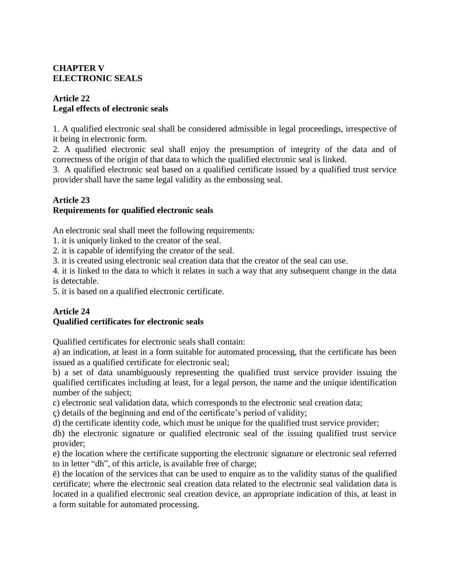# **CHAPTER V ELECTRONIC SEALS**

### **Article 22 Legal effects of electronic seals**

1. A qualified electronic seal shall be considered admissible in legal proceedings, irrespective of it being in electronic form.

2. A qualified electronic seal shall enjoy the presumption of integrity of the data and of correctness of the origin of that data to which the qualified electronic seal is linked.

3. A qualified electronic seal based on a qualified certificate issued by a qualified trust service provider shall have the same legal validity as the embossing seal.

# **Article 23**

# **Requirements for qualified electronic seals**

An electronic seal shall meet the following requirements:

1. it is uniquely linked to the creator of the seal.

2. it is capable of identifying the creator of the seal.

3. it is created using electronic seal creation data that the creator of the seal can use.

4. it is linked to the data to which it relates in such a way that any subsequent change in the data is detectable.

5. it is based on a qualified electronic certificate.

# **Article 24**

# **Qualified certificates for electronic seals**

Qualified certificates for electronic seals shall contain:

a) an indication, at least in a form suitable for automated processing, that the certificate has been issued as a qualified certificate for electronic seal;

b) a set of data unambiguously representing the qualified trust service provider issuing the qualified certificates including at least, for a legal person, the name and the unique identification number of the subject;

c) electronic seal validation data, which corresponds to the electronic seal creation data;

ç) details of the beginning and end of the certificate's period of validity;

d) the certificate identity code, which must be unique for the qualified trust service provider;

dh) the electronic signature or qualified electronic seal of the issuing qualified trust service provider;

e) the location where the certificate supporting the electronic signature or electronic seal referred to in letter "dh", of this article, is available free of charge;

ë) the location of the services that can be used to enquire as to the validity status of the qualified certificate; where the electronic seal creation data related to the electronic seal validation data is located in a qualified electronic seal creation device, an appropriate indication of this, at least in a form suitable for automated processing.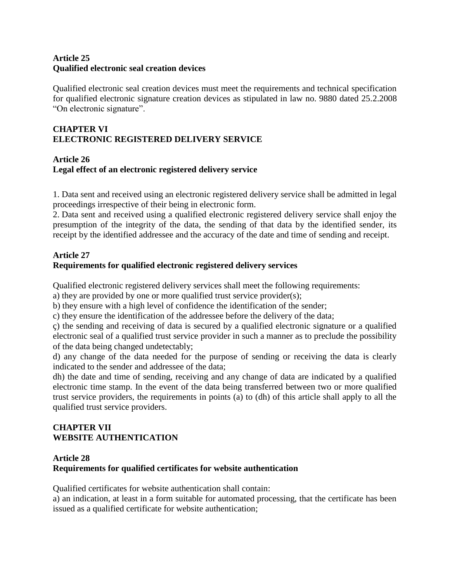#### **Article 25 Qualified electronic seal creation devices**

Qualified electronic seal creation devices must meet the requirements and technical specification for qualified electronic signature creation devices as stipulated in law no. 9880 dated 25.2.2008 "On electronic signature".

# **CHAPTER VI ELECTRONIC REGISTERED DELIVERY SERVICE**

### **Article 26 Legal effect of an electronic registered delivery service**

1. Data sent and received using an electronic registered delivery service shall be admitted in legal proceedings irrespective of their being in electronic form.

2. Data sent and received using a qualified electronic registered delivery service shall enjoy the presumption of the integrity of the data, the sending of that data by the identified sender, its receipt by the identified addressee and the accuracy of the date and time of sending and receipt.

# **Article 27**

# **Requirements for qualified electronic registered delivery services**

Qualified electronic registered delivery services shall meet the following requirements:

a) they are provided by one or more qualified trust service provider(s);

b) they ensure with a high level of confidence the identification of the sender;

c) they ensure the identification of the addressee before the delivery of the data;

ç) the sending and receiving of data is secured by a qualified electronic signature or a qualified electronic seal of a qualified trust service provider in such a manner as to preclude the possibility of the data being changed undetectably;

d) any change of the data needed for the purpose of sending or receiving the data is clearly indicated to the sender and addressee of the data;

dh) the date and time of sending, receiving and any change of data are indicated by a qualified electronic time stamp. In the event of the data being transferred between two or more qualified trust service providers, the requirements in points (a) to (dh) of this article shall apply to all the qualified trust service providers.

# **CHAPTER VII WEBSITE AUTHENTICATION**

# **Article 28**

# **Requirements for qualified certificates for website authentication**

Qualified certificates for website authentication shall contain:

a) an indication, at least in a form suitable for automated processing, that the certificate has been issued as a qualified certificate for website authentication;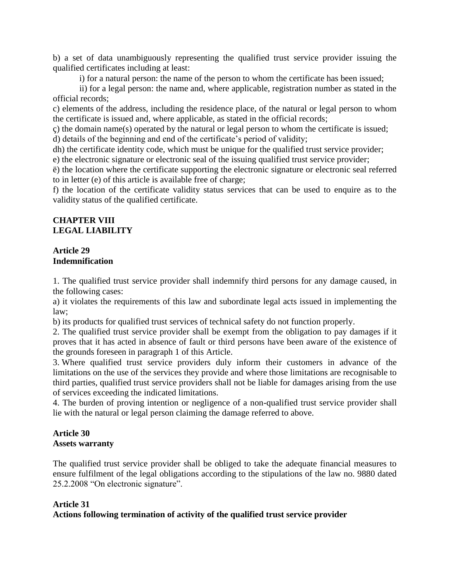b) a set of data unambiguously representing the qualified trust service provider issuing the qualified certificates including at least:

i) for a natural person: the name of the person to whom the certificate has been issued;

ii) for a legal person: the name and, where applicable, registration number as stated in the official records;

c) elements of the address, including the residence place, of the natural or legal person to whom the certificate is issued and, where applicable, as stated in the official records;

ç) the domain name(s) operated by the natural or legal person to whom the certificate is issued; d) details of the beginning and end of the certificate's period of validity;

dh) the certificate identity code, which must be unique for the qualified trust service provider;

e) the electronic signature or electronic seal of the issuing qualified trust service provider;

ë) the location where the certificate supporting the electronic signature or electronic seal referred to in letter (e) of this article is available free of charge;

f) the location of the certificate validity status services that can be used to enquire as to the validity status of the qualified certificate.

### **CHAPTER VIII LEGAL LIABILITY**

#### **Article 29 Indemnification**

1. The qualified trust service provider shall indemnify third persons for any damage caused, in the following cases:

a) it violates the requirements of this law and subordinate legal acts issued in implementing the law;

b) its products for qualified trust services of technical safety do not function properly.

2. The qualified trust service provider shall be exempt from the obligation to pay damages if it proves that it has acted in absence of fault or third persons have been aware of the existence of the grounds foreseen in paragraph 1 of this Article.

3. Where qualified trust service providers duly inform their customers in advance of the limitations on the use of the services they provide and where those limitations are recognisable to third parties, qualified trust service providers shall not be liable for damages arising from the use of services exceeding the indicated limitations.

4. The burden of proving intention or negligence of a non-qualified trust service provider shall lie with the natural or legal person claiming the damage referred to above.

#### **Article 30 Assets warranty**

The qualified trust service provider shall be obliged to take the adequate financial measures to ensure fulfilment of the legal obligations according to the stipulations of the law no. 9880 dated 25.2.2008 "On electronic signature".

# **Article 31**

#### **Actions following termination of activity of the qualified trust service provider**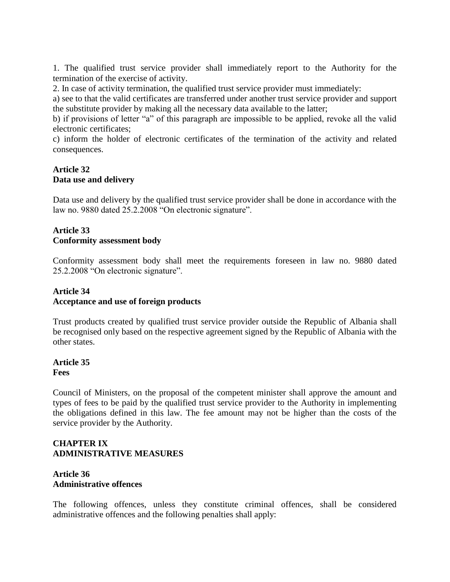1. The qualified trust service provider shall immediately report to the Authority for the termination of the exercise of activity.

2. In case of activity termination, the qualified trust service provider must immediately:

a) see to that the valid certificates are transferred under another trust service provider and support the substitute provider by making all the necessary data available to the latter;

b) if provisions of letter "a" of this paragraph are impossible to be applied, revoke all the valid electronic certificates;

c) inform the holder of electronic certificates of the termination of the activity and related consequences.

# **Article 32 Data use and delivery**

Data use and delivery by the qualified trust service provider shall be done in accordance with the law no. 9880 dated 25.2.2008 "On electronic signature".

### **Article 33 Conformity assessment body**

Conformity assessment body shall meet the requirements foreseen in law no. 9880 dated 25.2.2008 "On electronic signature".

#### **Article 34 Acceptance and use of foreign products**

Trust products created by qualified trust service provider outside the Republic of Albania shall be recognised only based on the respective agreement signed by the Republic of Albania with the other states.

#### **Article 35 Fees**

Council of Ministers, on the proposal of the competent minister shall approve the amount and types of fees to be paid by the qualified trust service provider to the Authority in implementing the obligations defined in this law. The fee amount may not be higher than the costs of the service provider by the Authority.

#### **CHAPTER IX ADMINISTRATIVE MEASURES**

#### **Article 36 Administrative offences**

The following offences, unless they constitute criminal offences, shall be considered administrative offences and the following penalties shall apply: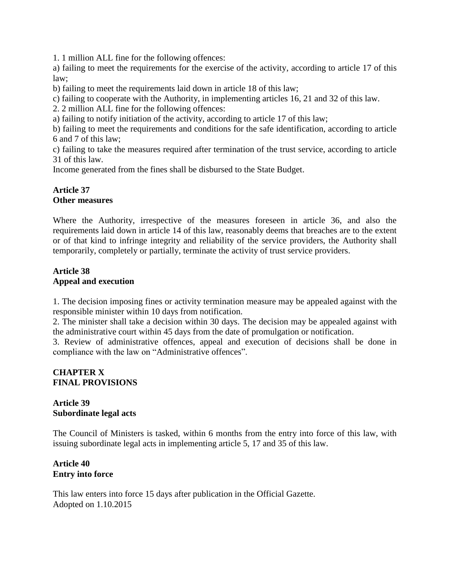1. 1 million ALL fine for the following offences:

a) failing to meet the requirements for the exercise of the activity, according to article 17 of this law;

b) failing to meet the requirements laid down in article 18 of this law;

c) failing to cooperate with the Authority, in implementing articles 16, 21 and 32 of this law.

2. 2 million ALL fine for the following offences:

a) failing to notify initiation of the activity, according to article 17 of this law;

b) failing to meet the requirements and conditions for the safe identification, according to article 6 and 7 of this law;

c) failing to take the measures required after termination of the trust service, according to article 31 of this law.

Income generated from the fines shall be disbursed to the State Budget.

#### **Article 37 Other measures**

Where the Authority, irrespective of the measures foreseen in article 36, and also the requirements laid down in article 14 of this law, reasonably deems that breaches are to the extent or of that kind to infringe integrity and reliability of the service providers, the Authority shall temporarily, completely or partially, terminate the activity of trust service providers.

#### **Article 38 Appeal and execution**

1. The decision imposing fines or activity termination measure may be appealed against with the responsible minister within 10 days from notification.

2. The minister shall take a decision within 30 days. The decision may be appealed against with the administrative court within 45 days from the date of promulgation or notification.

3. Review of administrative offences, appeal and execution of decisions shall be done in compliance with the law on "Administrative offences".

#### **CHAPTER X FINAL PROVISIONS**

# **Article 39 Subordinate legal acts**

The Council of Ministers is tasked, within 6 months from the entry into force of this law, with issuing subordinate legal acts in implementing article 5, 17 and 35 of this law.

#### **Article 40 Entry into force**

This law enters into force 15 days after publication in the Official Gazette. Adopted on 1.10.2015